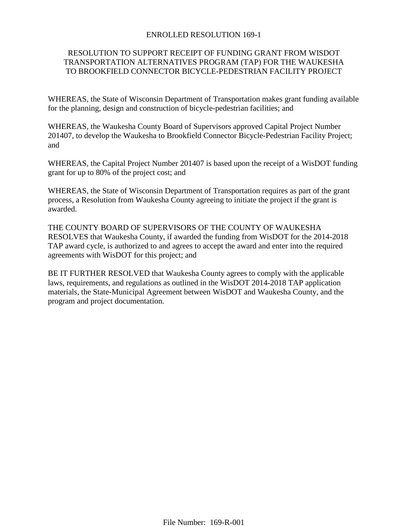## ENROLLED RESOLUTION 169-1

## RESOLUTION TO SUPPORT RECEIPT OF FUNDING GRANT FROM WISDOT TRANSPORTATION ALTERNATIVES PROGRAM (TAP) FOR THE WAUKESHA TO BROOKFIELD CONNECTOR BICYCLE-PEDESTRIAN FACILITY PROJECT

WHEREAS, the State of Wisconsin Department of Transportation makes grant funding available for the planning, design and construction of bicycle-pedestrian facilities; and

WHEREAS, the Waukesha County Board of Supervisors approved Capital Project Number 201407, to develop the Waukesha to Brookfield Connector Bicycle-Pedestrian Facility Project; and

WHEREAS, the Capital Project Number 201407 is based upon the receipt of a WisDOT funding grant for up to 80% of the project cost; and

WHEREAS, the State of Wisconsin Department of Transportation requires as part of the grant process, a Resolution from Waukesha County agreeing to initiate the project if the grant is awarded.

THE COUNTY BOARD OF SUPERVISORS OF THE COUNTY OF WAUKESHA RESOLVES that Waukesha County, if awarded the funding from WisDOT for the 2014-2018 TAP award cycle, is authorized to and agrees to accept the award and enter into the required agreements with WisDOT for this project; and

BE IT FURTHER RESOLVED that Waukesha County agrees to comply with the applicable laws, requirements, and regulations as outlined in the WisDOT 2014-2018 TAP application materials, the State-Municipal Agreement between WisDOT and Waukesha County, and the program and project documentation.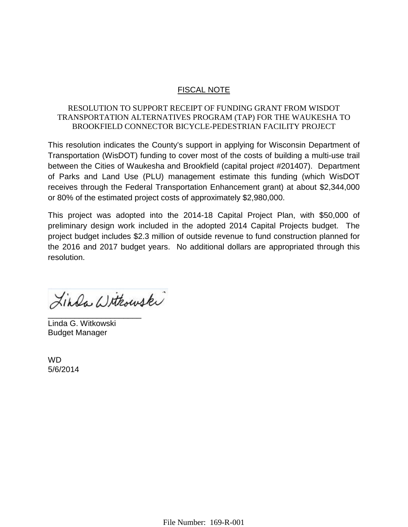# FISCAL NOTE

# RESOLUTION TO SUPPORT RECEIPT OF FUNDING GRANT FROM WISDOT TRANSPORTATION ALTERNATIVES PROGRAM (TAP) FOR THE WAUKESHA TO BROOKFIELD CONNECTOR BICYCLE-PEDESTRIAN FACILITY PROJECT

This resolution indicates the County's support in applying for Wisconsin Department of Transportation (WisDOT) funding to cover most of the costs of building a multi-use trail between the Cities of Waukesha and Brookfield (capital project #201407). Department of Parks and Land Use (PLU) management estimate this funding (which WisDOT receives through the Federal Transportation Enhancement grant) at about \$2,344,000 or 80% of the estimated project costs of approximately \$2,980,000.

This project was adopted into the 2014-18 Capital Project Plan, with \$50,000 of preliminary design work included in the adopted 2014 Capital Projects budget. The project budget includes \$2.3 million of outside revenue to fund construction planned for the 2016 and 2017 budget years. No additional dollars are appropriated through this resolution.

Linda Withouski

\_\_\_\_\_\_\_\_\_\_\_\_\_\_\_\_\_\_\_\_\_ Linda G. Witkowski Budget Manager

WD 5/6/2014

File Number: 169-R-001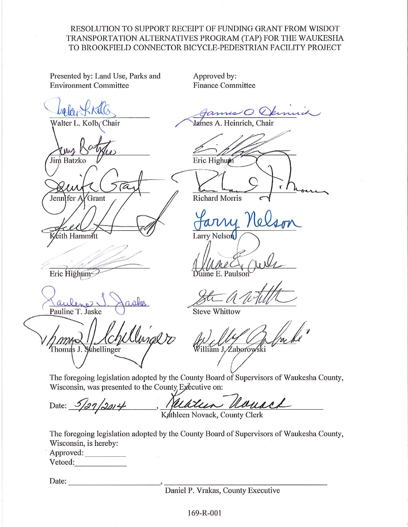## RESOLUTION TO SUPPORT RECEIPT OF FUNDING GRANT FROM WISDOT TRANSPORTATION ALTERNATIVES PROGRAM (TAP) FOR THE WAUKESHA TO BROOKFIELD CONNECTOR BICYCLE-PEDESTRIAN FACILITY PROJECT

Presented by: Land Use, Parks and **Environment Committee** 

Approved by: **Finance Committee** 

Fannis O. Dernich James A. Heinrich, Chair Walter L. Kolb Chair Eric Highum Jim Batzko Ċ Jennifer A Grant **Richard Morris** ith Hammitt Larry Nelson Eric Highum ane E. Paulson **Steve Whittow** Pauline T. Jaske Thomas J. Schellinger illiam J. Zaborowski The foregoing legislation adopted by the County Board of Supervisors of Waukesha County, Wisconsin, was presented to the County Executive on:

Marcin Nouach Date:  $\frac{5}{27}/2014$ 

Kathleen Novack, County Clerk

The foregoing legislation adopted by the County Board of Supervisors of Waukesha County, Wisconsin, is hereby:

| Approved: |  |
|-----------|--|
| Vetoed:   |  |

Date:

Daniel P. Vrakas, County Executive

169-R-001